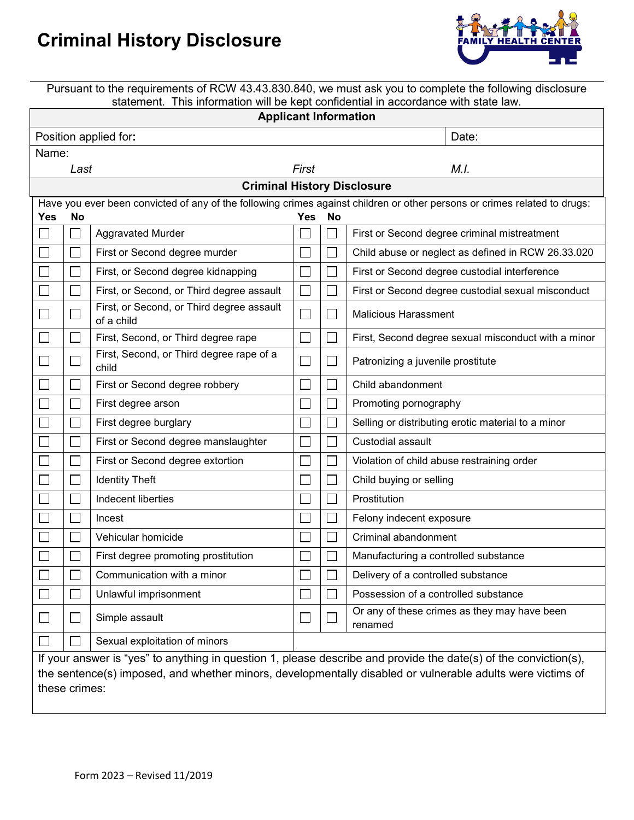## **Criminal History Disclosure**



Pursuant to the requirements of RCW 43.43.830.840, we must ask you to complete the following disclosure statement. This information will be kept confidential in accordance with state law.

| <b>Applicant Information</b>                                                                                                                                                                                                                    |                          |                                                         |                             |     |                                                         |  |  |  |  |  |  |
|-------------------------------------------------------------------------------------------------------------------------------------------------------------------------------------------------------------------------------------------------|--------------------------|---------------------------------------------------------|-----------------------------|-----|---------------------------------------------------------|--|--|--|--|--|--|
|                                                                                                                                                                                                                                                 |                          | Position applied for:                                   |                             |     | Date:                                                   |  |  |  |  |  |  |
| Name:                                                                                                                                                                                                                                           |                          |                                                         |                             |     |                                                         |  |  |  |  |  |  |
|                                                                                                                                                                                                                                                 | Last                     |                                                         | First                       |     | M.I.                                                    |  |  |  |  |  |  |
| <b>Criminal History Disclosure</b>                                                                                                                                                                                                              |                          |                                                         |                             |     |                                                         |  |  |  |  |  |  |
| Have you ever been convicted of any of the following crimes against children or other persons or crimes related to drugs:<br><b>Yes</b><br>No<br>Yes<br>No                                                                                      |                          |                                                         |                             |     |                                                         |  |  |  |  |  |  |
|                                                                                                                                                                                                                                                 | $\overline{\phantom{a}}$ | <b>Aggravated Murder</b>                                | $\sim$                      |     | First or Second degree criminal mistreatment            |  |  |  |  |  |  |
|                                                                                                                                                                                                                                                 |                          | First or Second degree murder                           |                             |     | Child abuse or neglect as defined in RCW 26.33.020      |  |  |  |  |  |  |
|                                                                                                                                                                                                                                                 |                          | First, or Second degree kidnapping                      | $\Box$                      |     | First or Second degree custodial interference           |  |  |  |  |  |  |
|                                                                                                                                                                                                                                                 |                          | First, or Second, or Third degree assault               | $\Box$                      |     | First or Second degree custodial sexual misconduct      |  |  |  |  |  |  |
|                                                                                                                                                                                                                                                 |                          | First, or Second, or Third degree assault<br>of a child | $\mathcal{L}_{\mathcal{A}}$ |     | <b>Malicious Harassment</b>                             |  |  |  |  |  |  |
|                                                                                                                                                                                                                                                 |                          | First, Second, or Third degree rape                     | $\Box$                      |     | First, Second degree sexual misconduct with a minor     |  |  |  |  |  |  |
|                                                                                                                                                                                                                                                 | $\overline{\phantom{a}}$ | First, Second, or Third degree rape of a<br>child       | $\mathcal{L}_{\mathcal{A}}$ |     | Patronizing a juvenile prostitute                       |  |  |  |  |  |  |
|                                                                                                                                                                                                                                                 |                          | First or Second degree robbery                          |                             |     | Child abandonment                                       |  |  |  |  |  |  |
|                                                                                                                                                                                                                                                 |                          | First degree arson                                      | $\mathcal{L}_{\mathcal{A}}$ |     | Promoting pornography                                   |  |  |  |  |  |  |
|                                                                                                                                                                                                                                                 |                          | First degree burglary                                   |                             |     | Selling or distributing erotic material to a minor      |  |  |  |  |  |  |
|                                                                                                                                                                                                                                                 | $\overline{\phantom{a}}$ | First or Second degree manslaughter                     | $\Box$                      |     | Custodial assault                                       |  |  |  |  |  |  |
|                                                                                                                                                                                                                                                 |                          | First or Second degree extortion                        |                             |     | Violation of child abuse restraining order              |  |  |  |  |  |  |
|                                                                                                                                                                                                                                                 |                          | <b>Identity Theft</b>                                   | $\mathcal{L}_{\mathcal{A}}$ |     | Child buying or selling                                 |  |  |  |  |  |  |
|                                                                                                                                                                                                                                                 |                          | Indecent liberties                                      |                             |     | Prostitution                                            |  |  |  |  |  |  |
|                                                                                                                                                                                                                                                 |                          | Incest                                                  |                             |     | Felony indecent exposure                                |  |  |  |  |  |  |
|                                                                                                                                                                                                                                                 |                          | Vehicular homicide                                      |                             |     | Criminal abandonment                                    |  |  |  |  |  |  |
|                                                                                                                                                                                                                                                 |                          | First degree promoting prostitution                     |                             |     | Manufacturing a controlled substance                    |  |  |  |  |  |  |
|                                                                                                                                                                                                                                                 | $\Box$                   | Communication with a minor                              | $\Box$                      | ┌─┐ | Delivery of a controlled substance                      |  |  |  |  |  |  |
|                                                                                                                                                                                                                                                 |                          | Unlawful imprisonment                                   |                             |     | Possession of a controlled substance                    |  |  |  |  |  |  |
|                                                                                                                                                                                                                                                 |                          | Simple assault                                          | $\Box$                      |     | Or any of these crimes as they may have been<br>renamed |  |  |  |  |  |  |
|                                                                                                                                                                                                                                                 |                          | Sexual exploitation of minors                           |                             |     |                                                         |  |  |  |  |  |  |
| If your answer is "yes" to anything in question 1, please describe and provide the date(s) of the conviction(s),<br>the sentence(s) imposed, and whether minors, developmentally disabled or vulnerable adults were victims of<br>these crimes: |                          |                                                         |                             |     |                                                         |  |  |  |  |  |  |